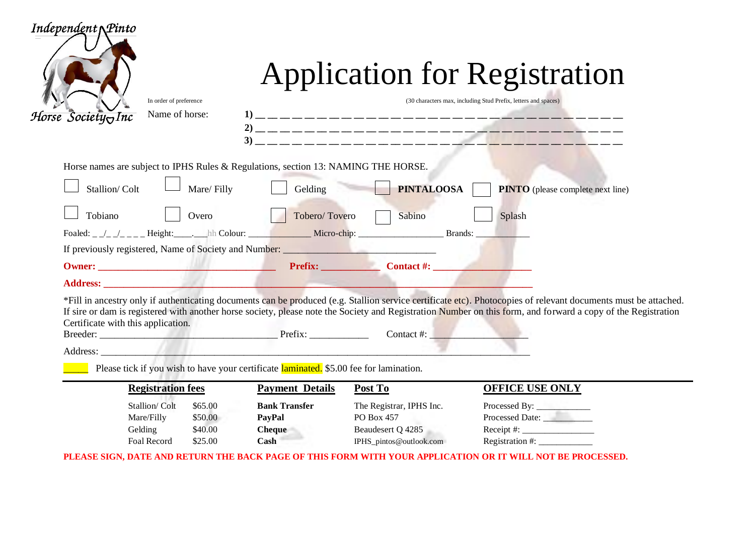| Independent $\Lambda$ Pinto<br>In order of preference<br>Name of horse:<br>Horse $\bar{S}$ ociety $\sigma$ Inc                                                                                                                                                                                                                                                                       |                                                                |                                                                                        | <b>Application for Registration</b><br>(30 characters max, including Stud Prefix, letters and spaces) |  |  |  |  |
|--------------------------------------------------------------------------------------------------------------------------------------------------------------------------------------------------------------------------------------------------------------------------------------------------------------------------------------------------------------------------------------|----------------------------------------------------------------|----------------------------------------------------------------------------------------|-------------------------------------------------------------------------------------------------------|--|--|--|--|
| Horse names are subject to IPHS Rules & Regulations, section 13: NAMING THE HORSE.                                                                                                                                                                                                                                                                                                   |                                                                |                                                                                        |                                                                                                       |  |  |  |  |
| Mare/Filly<br>Stallion/Colt                                                                                                                                                                                                                                                                                                                                                          | Gelding                                                        | <b>PINTALOOSA</b>                                                                      | <b>PINTO</b> (please complete next line)                                                              |  |  |  |  |
| Tobiano<br>Overo                                                                                                                                                                                                                                                                                                                                                                     | Tobero/Tovero                                                  | Sabino                                                                                 | Splash                                                                                                |  |  |  |  |
|                                                                                                                                                                                                                                                                                                                                                                                      |                                                                |                                                                                        |                                                                                                       |  |  |  |  |
| If previously registered, Name of Society and Number: __________________________                                                                                                                                                                                                                                                                                                     |                                                                |                                                                                        |                                                                                                       |  |  |  |  |
|                                                                                                                                                                                                                                                                                                                                                                                      |                                                                |                                                                                        |                                                                                                       |  |  |  |  |
|                                                                                                                                                                                                                                                                                                                                                                                      |                                                                |                                                                                        |                                                                                                       |  |  |  |  |
| *Fill in ancestry only if authenticating documents can be produced (e.g. Stallion service certificate etc). Photocopies of relevant documents must be attached.<br>If sire or dam is registered with another horse society, please note the Society and Registration Number on this form, and forward a copy of the Registration<br>Certificate with this application.<br>Contact #: |                                                                |                                                                                        |                                                                                                       |  |  |  |  |
|                                                                                                                                                                                                                                                                                                                                                                                      |                                                                |                                                                                        |                                                                                                       |  |  |  |  |
| Please tick if you wish to have your certificate laminated. \$5.00 fee for lamination.                                                                                                                                                                                                                                                                                               |                                                                |                                                                                        |                                                                                                       |  |  |  |  |
| <b>Registration fees</b>                                                                                                                                                                                                                                                                                                                                                             | <b>Payment Details</b>                                         | Post To                                                                                | <b>OFFICE USE ONLY</b>                                                                                |  |  |  |  |
| Stallion/Colt<br>\$65.00<br>Mare/Filly<br>\$50.00<br>\$40.00<br>Gelding<br><b>Foal Record</b><br>\$25.00                                                                                                                                                                                                                                                                             | <b>Bank Transfer</b><br>PayPal<br><b>Cheque</b><br><b>Cash</b> | The Registrar, IPHS Inc.<br>PO Box 457<br>Beaudesert Q 4285<br>IPHS_pintos@outlook.com | Processed Date:<br>$Receipt \#:$<br>Registration #: $\frac{1}{2}$                                     |  |  |  |  |

**PLEASE SIGN, DATE AND RETURN THE BACK PAGE OF THIS FORM WITH YOUR APPLICATION OR IT WILL NOT BE PROCESSED.**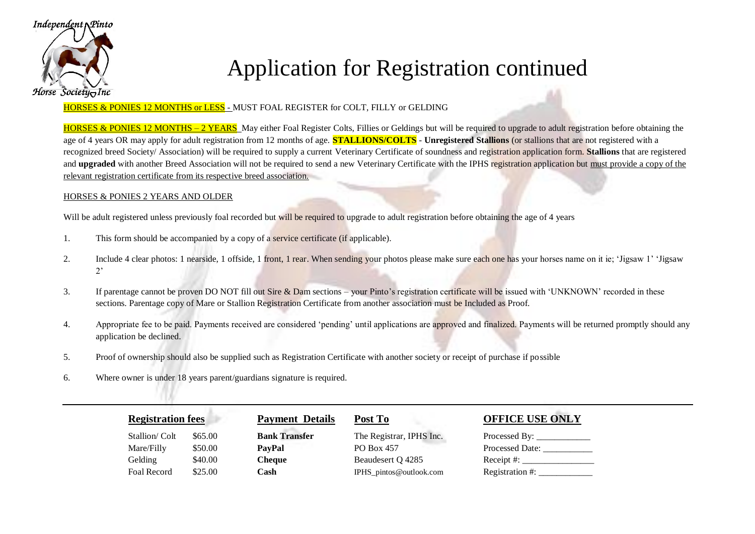

# Application for Registration continued

### HORSES & PONIES 12 MONTHS or LESS - MUST FOAL REGISTER for COLT, FILLY or GELDING

HORSES & PONIES 12 MONTHS – 2 YEARS May either Foal Register Colts, Fillies or Geldings but will be required to upgrade to adult registration before obtaining the age of 4 years OR may apply for adult registration from 12 months of age. **STALLIONS/COLTS** - **Unregistered Stallions** (or stallions that are not registered with a recognized breed Society/ Association) will be required to supply a current Veterinary Certificate of soundness and registration application form. **Stallions** that are registered and **upgraded** with another Breed Association will not be required to send a new Veterinary Certificate with the IPHS registration application but must provide a copy of the relevant registration certificate from its respective breed association.

#### HORSES & PONIES 2 YEARS AND OLDER

Will be adult registered unless previously foal recorded but will be required to upgrade to adult registration before obtaining the age of 4 years

- 1. This form should be accompanied by a copy of a service certificate (if applicable).
- 2. Include 4 clear photos: 1 nearside, 1 offside, 1 front, 1 rear. When sending your photos please make sure each one has your horses name on it ie; 'Jigsaw 1' 'Jigsaw  $2'$
- 3. If parentage cannot be proven DO NOT fill out Sire & Dam sections your Pinto's registration certificate will be issued with 'UNKNOWN' recorded in these sections. Parentage copy of Mare or Stallion Registration Certificate from another association must be Included as Proof.
- 4. Appropriate fee to be paid. Payments received are considered 'pending' until applications are approved and finalized. Payments will be returned promptly should any application be declined.
- 5. Proof of ownership should also be supplied such as Registration Certificate with another society or receipt of purchase if possible
- 6. Where owner is under 18 years parent/guardians signature is required.

| <b>Registration fees</b> |         | <b>Payment Details</b> | Post To                  | <b>OFFICE USE ONLY</b>                             |
|--------------------------|---------|------------------------|--------------------------|----------------------------------------------------|
| Stallion/Colt            | \$65.00 | <b>Bank Transfer</b>   | The Registrar, IPHS Inc. | Processed By: $\_\_\_\_\_\_\_\_\_\_\_\_\_\_\_\_\_$ |
| Mare/Filly               | \$50.00 | <b>PayPal</b>          | PO Box 457               | <b>Processed Date:</b>                             |
| Gelding                  | \$40.00 | <b>Cheque</b>          | Beaudesert Q 4285        |                                                    |
| Foal Record              | \$25.00 | Cash                   | IPHS_pintos@outlook.com  | Registration #:                                    |